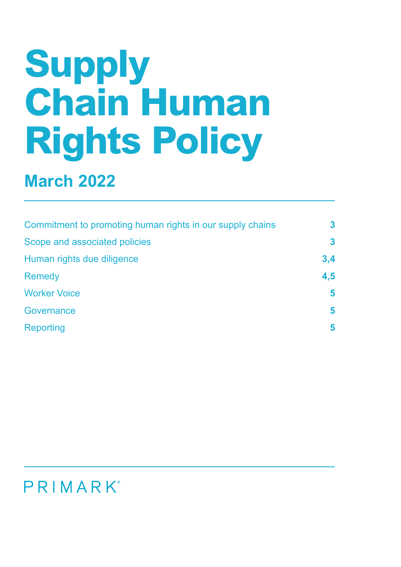# **Supply Chain Human Rights Policy**

## **March 2022**

| Commitment to promoting human rights in our supply chains | $\mathbf{3}$ |
|-----------------------------------------------------------|--------------|
| Scope and associated policies                             | $\mathbf{3}$ |
| Human rights due diligence                                | 3,4          |
| <b>Remedy</b>                                             | 4,5          |
| <b>Worker Voice</b>                                       | 5            |
| Governance                                                | 5            |
| Reporting                                                 | 5            |

### PRIMARK®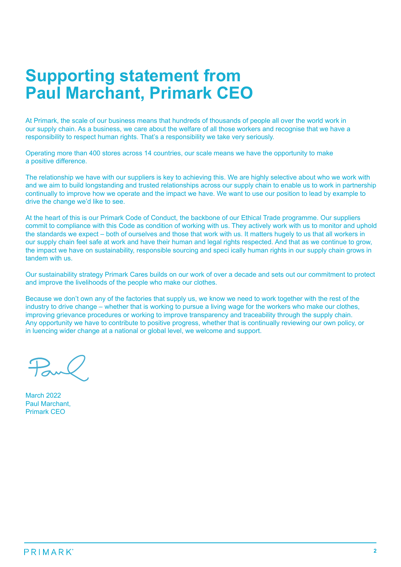#### **Supporting statement from Paul Marchant, Primark CEO**

At Primark, the scale of our business means that hundreds of thousands of people all over the world work in our supply chain. As a business, we care about the welfare of all those workers and recognise that we have a responsibility to respect human rights. That's a responsibility we take very seriously.

Operating more than 400 stores across 14 countries, our scale means we have the opportunity to make a positive difference.

The relationship we have with our suppliers is key to achieving this. We are highly selective about who we work with and we aim to build longstanding and trusted relationships across our supply chain to enable us to work in partnership continually to improve how we operate and the impact we have. We want to use our position to lead by example to drive the change we'd like to see.

At the heart of this is our Primark Code of Conduct, the backbone of our Ethical Trade programme. Our suppliers commit to compliance with this Code as condition of working with us. They actively work with us to monitor and uphold the standards we expect – both of ourselves and those that work with us. It matters hugely to us that all workers in our supply chain feel safe at work and have their human and legal rights respected. And that as we continue to grow, the impact we have on sustainability, responsible sourcing and speci ically human rights in our supply chain grows in tandem with us.

Our sustainability strategy Primark Cares builds on our work of over a decade and sets out our commitment to protect and improve the livelihoods of the people who make our clothes.

Because we don't own any of the factories that supply us, we know we need to work together with the rest of the industry to drive change – whether that is working to pursue a living wage for the workers who make our clothes, improving grievance procedures or working to improve transparency and traceability through the supply chain. Any opportunity we have to contribute to positive progress, whether that is continually reviewing our own policy, or in luencing wider change at a national or global level, we welcome and support.

March 2022 Paul Marchant, Primark CEO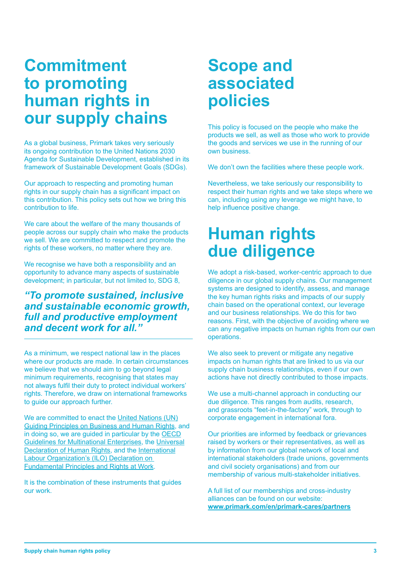#### **Commitment to promoting human rights in our supply chains**

As a global business, Primark takes very seriously its ongoing contribution to the United Nations 2030 Agenda for Sustainable Development, established in its framework of Sustainable Development Goals (SDGs).

Our approach to respecting and promoting human rights in our supply chain has a significant impact on this contribution. This policy sets out how we bring this contribution to life.

We care about the welfare of the many thousands of people across our supply chain who make the products we sell. We are committed to respect and promote the rights of these workers, no matter where they are.

We recognise we have both a responsibility and an opportunity to advance many aspects of sustainable development; in particular, but not limited to, SDG 8,

#### *"To promote sustained, inclusive and sustainable economic growth, full and productive employment and decent work for all."*

As a minimum, we respect national law in the places where our products are made. In certain circumstances we believe that we should aim to go beyond legal minimum requirements, recognising that states may not always fulfil their duty to protect individual workers' rights. Therefore, we draw on international frameworks to guide our approach further.

We are committed to enact the United Nations (UN) Guiding Principles on Business and Human Rights, and in doing so, we are guided in particular by the OECD Guidelines for Multinational Enterprises, the Universal Declaration of Human Rights, and the International Labour Organization's (ILO) Declaration on Fundamental Principles and Rights at Work.

It is the combination of these instruments that guides our work.

#### **Scope and associated policies**

This policy is focused on the people who make the products we sell, as well as those who work to provide the goods and services we use in the running of our own business.

We don't own the facilities where these people work.

Nevertheless, we take seriously our responsibility to respect their human rights and we take steps where we can, including using any leverage we might have, to help influence positive change.

### **Human rights due diligence**

We adopt a risk-based, worker-centric approach to due diligence in our global supply chains. Our management systems are designed to identify, assess, and manage the key human rights risks and impacts of our supply chain based on the operational context, our leverage and our business relationships. We do this for two reasons. First, with the objective of avoiding where we can any negative impacts on human rights from our own operations.

We also seek to prevent or mitigate any negative impacts on human rights that are linked to us via our supply chain business relationships, even if our own actions have not directly contributed to those impacts.

We use a multi-channel approach in conducting our due diligence. This ranges from audits, research, and grassroots "feet-in-the-factory" work, through to corporate engagement in international fora.

Our priorities are informed by feedback or grievances raised by workers or their representatives, as well as by information from our global network of local and international stakeholders (trade unions, governments and civil society organisations) and from our membership of various multi-stakeholder initiatives.

A full list of our memberships and cross-industry alliances can be found on our website: **www.primark.com/en/primark-cares/partners**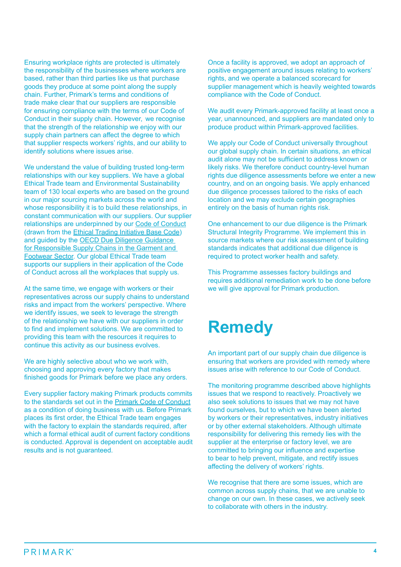Ensuring workplace rights are protected is ultimately the responsibility of the businesses where workers are based, rather than third parties like us that purchase goods they produce at some point along the supply chain. Further, Primark's terms and conditions of trade make clear that our suppliers are responsible for ensuring compliance with the terms of our Code of Conduct in their supply chain. However, we recognise that the strength of the relationship we enjoy with our supply chain partners can affect the degree to which that supplier respects workers' rights, and our ability to identify solutions where issues arise.

We understand the value of building trusted long-term relationships with our key suppliers. We have a global Ethical Trade team and Environmental Sustainability team of 130 local experts who are based on the ground in our major sourcing markets across the world and whose responsibility it is to build these relationships, in constant communication with our suppliers. Our supplier relationships are underpinned by our Code of Conduct (drawn from the Ethical Trading Initiative Base Code) and guided by the OECD Due Diligence Guidance for Responsible Supply Chains in the Garment and Footwear Sector. Our global Ethical Trade team supports our suppliers in their application of the Code of Conduct across all the workplaces that supply us.

At the same time, we engage with workers or their representatives across our supply chains to understand risks and impact from the workers' perspective. Where we identify issues, we seek to leverage the strength of the relationship we have with our suppliers in order to find and implement solutions. We are committed to providing this team with the resources it requires to continue this activity as our business evolves.

We are highly selective about who we work with, choosing and approving every factory that makes finished goods for Primark before we place any orders.

Every supplier factory making Primark products commits to the standards set out in the Primark Code of Conduct as a condition of doing business with us. Before Primark places its first order, the Ethical Trade team engages with the factory to explain the standards required, after which a formal ethical audit of current factory conditions is conducted. Approval is dependent on acceptable audit results and is not guaranteed.

Once a facility is approved, we adopt an approach of positive engagement around issues relating to workers' rights, and we operate a balanced scorecard for supplier management which is heavily weighted towards compliance with the Code of Conduct.

We audit every Primark-approved facility at least once a year, unannounced, and suppliers are mandated only to produce product within Primark-approved facilities.

We apply our Code of Conduct universally throughout our global supply chain. In certain situations, an ethical audit alone may not be sufficient to address known or likely risks. We therefore conduct country-level human rights due diligence assessments before we enter a new country, and on an ongoing basis. We apply enhanced due diligence processes tailored to the risks of each location and we may exclude certain geographies entirely on the basis of human rights risk.

One enhancement to our due diligence is the Primark Structural Integrity Programme. We implement this in source markets where our risk assessment of building standards indicates that additional due diligence is required to protect worker health and safety.

This Programme assesses factory buildings and requires additional remediation work to be done before we will give approval for Primark production.

### **Remedy**

An important part of our supply chain due diligence is ensuring that workers are provided with remedy where issues arise with reference to our Code of Conduct.

The monitoring programme described above highlights issues that we respond to reactively. Proactively we also seek solutions to issues that we may not have found ourselves, but to which we have been alerted by workers or their representatives, industry initiatives or by other external stakeholders. Although ultimate responsibility for delivering this remedy lies with the supplier at the enterprise or factory level, we are committed to bringing our influence and expertise to bear to help prevent, mitigate, and rectify issues affecting the delivery of workers' rights.

We recognise that there are some issues, which are common across supply chains, that we are unable to change on our own. In these cases, we actively seek to collaborate with others in the industry.